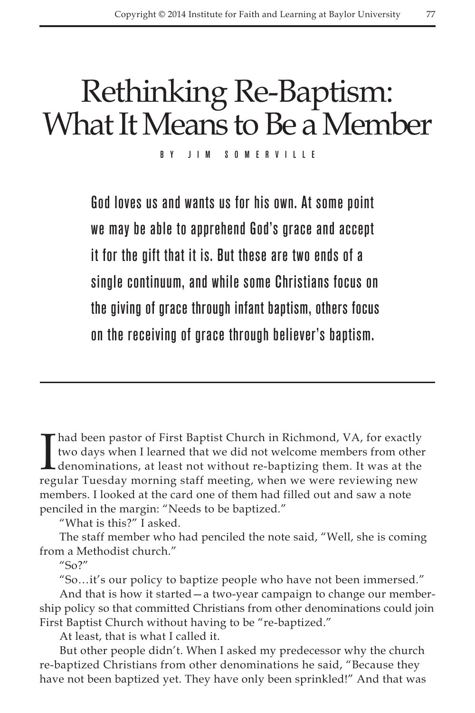## Rethinking Re-Baptism: What It Means to Be a Member

by Jim Somerville

God loves us and wants us for his own. At some point we may be able to apprehend God's grace and accept it for the gift that it is. But these are two ends of a single continuum, and while some Christians focus on the giving of grace through infant baptism, others focus on the receiving of grace through believer's baptism.

I had been pastor of First Baptist Church in Richmond, VA, for exactly<br>two days when I learned that we did not welcome members from other<br>denominations, at least not without re-baptizing them. It was at the<br>regular Tuesday two days when I learned that we did not welcome members from other denominations, at least not without re-baptizing them. It was at the regular Tuesday morning staff meeting, when we were reviewing new members. I looked at the card one of them had filled out and saw a note penciled in the margin: "Needs to be baptized."

"What is this?" I asked.

The staff member who had penciled the note said, "Well, she is coming from a Methodist church."

 $^{\prime\prime}$ So?"

"So…it's our policy to baptize people who have not been immersed."

And that is how it started—a two-year campaign to change our membership policy so that committed Christians from other denominations could join First Baptist Church without having to be "re-baptized."

At least, that is what I called it.

But other people didn't. When I asked my predecessor why the church re-baptized Christians from other denominations he said, "Because they have not been baptized yet. They have only been sprinkled!" And that was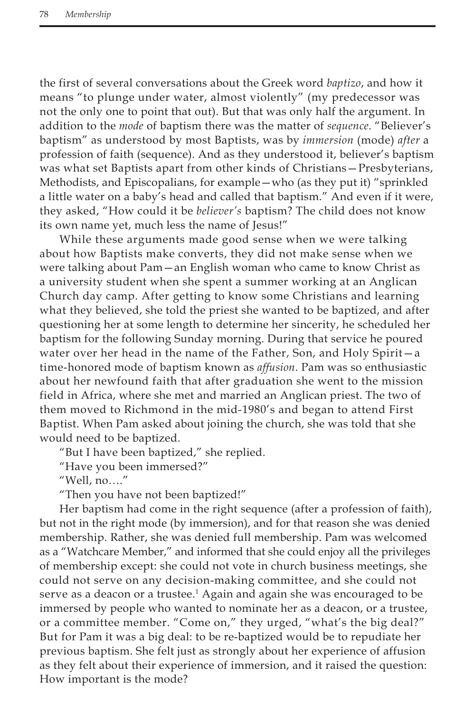the first of several conversations about the Greek word *baptizo*, and how it means "to plunge under water, almost violently" (my predecessor was not the only one to point that out). But that was only half the argument. In addition to the *mode* of baptism there was the matter of *sequence*. "Believer's baptism" as understood by most Baptists, was by *immersion* (mode) *after* a profession of faith (sequence). And as they understood it, believer's baptism was what set Baptists apart from other kinds of Christians—Presbyterians, Methodists, and Episcopalians, for example—who (as they put it) "sprinkled a little water on a baby's head and called that baptism." And even if it were, they asked, "How could it be *believer's* baptism? The child does not know its own name yet, much less the name of Jesus!"

While these arguments made good sense when we were talking about how Baptists make converts, they did not make sense when we were talking about Pam—an English woman who came to know Christ as a university student when she spent a summer working at an Anglican Church day camp. After getting to know some Christians and learning what they believed, she told the priest she wanted to be baptized, and after questioning her at some length to determine her sincerity, he scheduled her baptism for the following Sunday morning. During that service he poured water over her head in the name of the Father, Son, and Holy Spirit—a time-honored mode of baptism known as *affusion*. Pam was so enthusiastic about her newfound faith that after graduation she went to the mission field in Africa, where she met and married an Anglican priest. The two of them moved to Richmond in the mid-1980's and began to attend First Baptist. When Pam asked about joining the church, she was told that she would need to be baptized.

"But I have been baptized," she replied.

"Have you been immersed?"

"Well, no…."

"Then you have not been baptized!"

Her baptism had come in the right sequence (after a profession of faith), but not in the right mode (by immersion), and for that reason she was denied membership. Rather, she was denied full membership. Pam was welcomed as a "Watchcare Member," and informed that she could enjoy all the privileges of membership except: she could not vote in church business meetings, she could not serve on any decision-making committee, and she could not serve as a deacon or a trustee.<sup>1</sup> Again and again she was encouraged to be immersed by people who wanted to nominate her as a deacon, or a trustee, or a committee member. "Come on," they urged, "what's the big deal?" But for Pam it was a big deal: to be re-baptized would be to repudiate her previous baptism. She felt just as strongly about her experience of affusion as they felt about their experience of immersion, and it raised the question: How important is the mode?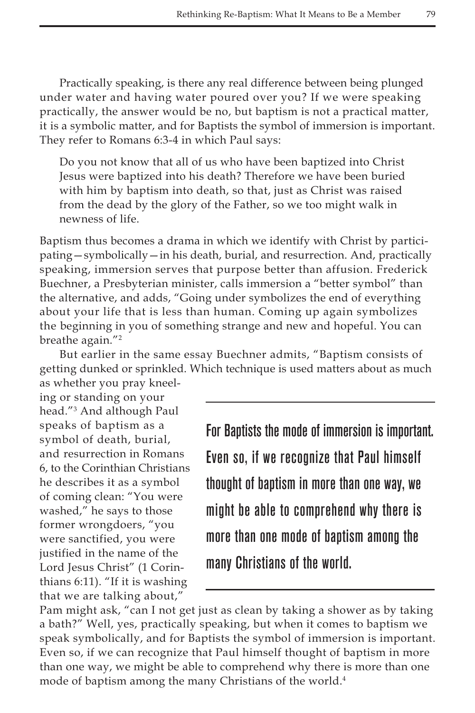Practically speaking, is there any real difference between being plunged under water and having water poured over you? If we were speaking practically, the answer would be no, but baptism is not a practical matter, it is a symbolic matter, and for Baptists the symbol of immersion is important. They refer to Romans 6:3-4 in which Paul says:

Do you not know that all of us who have been baptized into Christ Jesus were baptized into his death? Therefore we have been buried with him by baptism into death, so that, just as Christ was raised from the dead by the glory of the Father, so we too might walk in newness of life.

Baptism thus becomes a drama in which we identify with Christ by participating—symbolically—in his death, burial, and resurrection. And, practically speaking, immersion serves that purpose better than affusion. Frederick Buechner, a Presbyterian minister, calls immersion a "better symbol" than the alternative, and adds, "Going under symbolizes the end of everything about your life that is less than human. Coming up again symbolizes the beginning in you of something strange and new and hopeful. You can breathe again."<sup>2</sup>

But earlier in the same essay Buechner admits, "Baptism consists of getting dunked or sprinkled. Which technique is used matters about as much as whether you pray kneel-

ing or standing on your head."3 And although Paul speaks of baptism as a symbol of death, burial, and resurrection in Romans 6, to the Corinthian Christians he describes it as a symbol of coming clean: "You were washed," he says to those former wrongdoers, "you were sanctified, you were justified in the name of the Lord Jesus Christ" (1 Corinthians 6:11). "If it is washing that we are talking about,"

For Baptists the mode of immersion is important. Even so, if we recognize that Paul himself thought of baptism in more than one way, we might be able to comprehend why there is more than one mode of baptism among the many Christians of the world.

Pam might ask, "can I not get just as clean by taking a shower as by taking a bath?" Well, yes, practically speaking, but when it comes to baptism we speak symbolically, and for Baptists the symbol of immersion is important. Even so, if we can recognize that Paul himself thought of baptism in more than one way, we might be able to comprehend why there is more than one mode of baptism among the many Christians of the world.<sup>4</sup>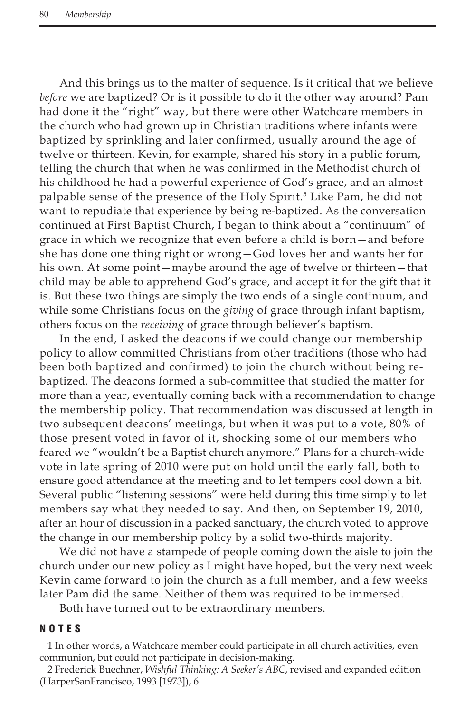And this brings us to the matter of sequence. Is it critical that we believe *before* we are baptized? Or is it possible to do it the other way around? Pam had done it the "right" way, but there were other Watchcare members in the church who had grown up in Christian traditions where infants were baptized by sprinkling and later confirmed, usually around the age of twelve or thirteen. Kevin, for example, shared his story in a public forum, telling the church that when he was confirmed in the Methodist church of his childhood he had a powerful experience of God's grace, and an almost palpable sense of the presence of the Holy Spirit.<sup>5</sup> Like Pam, he did not want to repudiate that experience by being re-baptized. As the conversation continued at First Baptist Church, I began to think about a "continuum" of grace in which we recognize that even before a child is born—and before she has done one thing right or wrong—God loves her and wants her for his own. At some point—maybe around the age of twelve or thirteen—that child may be able to apprehend God's grace, and accept it for the gift that it is. But these two things are simply the two ends of a single continuum, and while some Christians focus on the *giving* of grace through infant baptism, others focus on the *receiving* of grace through believer's baptism.

In the end, I asked the deacons if we could change our membership policy to allow committed Christians from other traditions (those who had been both baptized and confirmed) to join the church without being rebaptized. The deacons formed a sub-committee that studied the matter for more than a year, eventually coming back with a recommendation to change the membership policy. That recommendation was discussed at length in two subsequent deacons' meetings, but when it was put to a vote, 80% of those present voted in favor of it, shocking some of our members who feared we "wouldn't be a Baptist church anymore." Plans for a church-wide vote in late spring of 2010 were put on hold until the early fall, both to ensure good attendance at the meeting and to let tempers cool down a bit. Several public "listening sessions" were held during this time simply to let members say what they needed to say. And then, on September 19, 2010, after an hour of discussion in a packed sanctuary, the church voted to approve the change in our membership policy by a solid two-thirds majority.

We did not have a stampede of people coming down the aisle to join the church under our new policy as I might have hoped, but the very next week Kevin came forward to join the church as a full member, and a few weeks later Pam did the same. Neither of them was required to be immersed.

Both have turned out to be extraordinary members.

## NOTES

1 In other words, a Watchcare member could participate in all church activities, even communion, but could not participate in decision-making.

2 Frederick Buechner, *Wishful Thinking: A Seeker's ABC*, revised and expanded edition (HarperSanFrancisco, 1993 [1973]), 6.